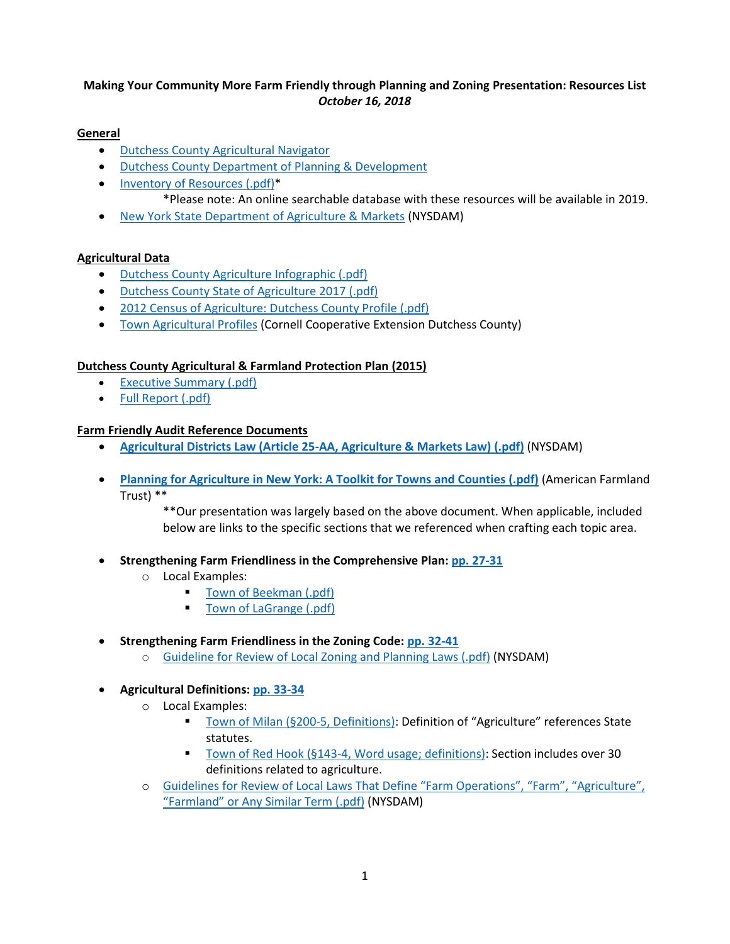# **Making Your Community More Farm Friendly through Planning and Zoning Presentation: Resources List** *October 16, 2018*

## **General**

- [Dutchess County Agricultural Navigator](https://www.dutchessny.gov/CountyGov/Departments/Planning/agricultural-navigator.htm)
- [Dutchess County Department of Planning & Development](https://www.dutchessny.gov/CountyGov/Departments/Planning/24426.htm)
- [Inventory of Resources](https://www.dutchessny.gov/ConCalAtt/67/Dutchess%20County%20Ag%20Inventory%20of%20Resources%202018_FINAL_05232018354.pdf) (.pdf)\*
	- \*Please note: An online searchable database with these resources will be available in 2019.
- New York State [Department of Agriculture & Markets](https://www.agriculture.ny.gov/) (NYSDAM)

### **Agricultural Data**

- [Dutchess County Agriculture Infographic \(.pdf\)](http://www.dutchessny.gov/ConCalAtt/67/AgInfographic_08_23_2017_wPhoto1&ColorImages_09072017259.pdf)
- [Dutchess County State of Agriculture 2017 \(.pdf\)](http://www.co.dutchess.ny.us/CountyGov/Departments/Planning/Agricultural-State-of-Dutchess-County-2017.pdf)
- [2012 Census of Agriculture: Dutchess County Profile \(.pdf\)](https://www.nass.usda.gov/Publications/AgCensus/2012/Online_Resources/County_Profiles/New_York/cp36027.pdf)
- [Town Agricultural Profiles](http://ccedutchess.org/agriculture/2017-town-agricultural-profiles) (Cornell Cooperative Extension Dutchess County)

### **Dutchess County Agricultural & Farmland Protection Plan (2015)**

- [Executive Summary \(.pdf\)](https://s3.amazonaws.com/assets.cce.cornell.edu/attachments/8621/2015-agricultural-and-farmland-protection-plan-executive-summary-rev.pdf?1433188410)
- [Full Report \(.pdf\)](http://www.dutchessny.gov/CountyGov/Departments/Planning/22857.htm)

### **Farm Friendly Audit Reference Documents**

- **[Agricultural Districts Law \(Article 25-AA, Agriculture & Markets Law\)](https://www.agriculture.ny.gov/AP/agservices/25-AA.pdf) (.pdf)** (NYSDAM)
- **[Planning for Agriculture in New York: A Toolkit for Towns and Counties \(.pdf\)](https://www.farmlandinfo.org/sites/default/files/P4A_FINAL_lo_res_1-21-11_1.pdf)** (American Farmland Trust) \*\*

\*\*Our presentation was largely based on the above document. When applicable, included below are links to the specific sections that we referenced when crafting each topic area.

- **Strengthening Farm Friendliness in the Comprehensive Plan: pp. [27-31](https://www.farmlandinfo.org/sites/default/files/P4A_FINAL_lo_res_1-21-11_1.pdf)**
	- o Local Examples:
		- [Town of Beekman \(.pdf\)](https://www.townofbeekman.com/vertical/sites/%7B45AD6F45-1C6B-43EE-A091-A602A0E0E2B6%7D/uploads/Plan_-_Comprehensive_Plan.pdf)
		- [Town of LaGrange \(.pdf\)](https://ecode360.com/documents/LA0563/public/241610282.pdf)

#### • **Strengthening Farm Friendliness in the Zoning Code: [pp. 32-41](https://www.farmlandinfo.org/sites/default/files/P4A_FINAL_lo_res_1-21-11_1.pdf)**

o [Guideline for Review of Local Zoning and Planning Laws \(.pdf\)](http://www.agriculture.ny.gov/ap/agservices/guidancedocuments/305-aZoningGuidelines.pdf) (NYSDAM)

# • **Agricultural Definitions: [pp. 33-34](https://www.farmlandinfo.org/sites/default/files/P4A_FINAL_lo_res_1-21-11_1.pdf)**

- o Local Examples:
	- Town of Milan [\(§200-5, Definitions\):](https://ecode360.com/6516438) Definition of "Agriculture" references State statutes.
	- Town of Red Hook [\(§143-4, Word usage; definitions\):](https://ecode360.com/5088428) Section includes over 30 definitions related to agriculture.
- o [Guidelines for Review of Local Laws That Define "Farm Operations", "Farm", "Agriculture",](https://www.agriculture.ny.gov/ap/agservices/guidancedocuments/AgGuideline-FarmOperation.pdf)  ["Farmland" or Any Similar Ter](https://www.agriculture.ny.gov/ap/agservices/guidancedocuments/AgGuideline-FarmOperation.pdf)m (.pdf) (NYSDAM)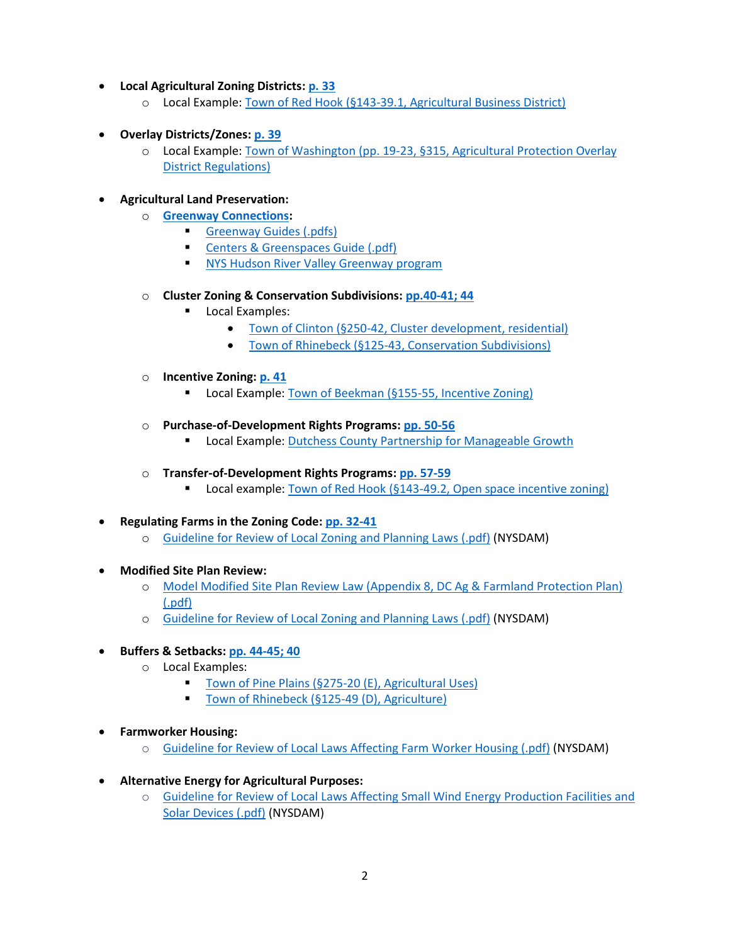- **Local Agricultural Zoning Districts: [p. 33](https://www.farmlandinfo.org/sites/default/files/P4A_FINAL_lo_res_1-21-11_1.pdf)**
	- o Local Example: Town of Red Hook [\(§143-39.1, Agricultural Business District\)](https://ecode360.com/15320736?highlight=agricultural,agriculture,district,districts,zoning,zoning%20district#15320736)
- **Overlay Districts/Zones: [p. 39](https://www.farmlandinfo.org/sites/default/files/P4A_FINAL_lo_res_1-21-11_1.pdf)**
	- o Local Example: Town of Washington [\(pp. 19-23, §315, Agricultural Protection Overlay](https://www.washingtonny.org/document-center/building-zoning/59-zoning-code-complete/file.html)  [District Regulations\)](https://www.washingtonny.org/document-center/building-zoning/59-zoning-code-complete/file.html)

## • **Agricultural Land Preservation:**

- o **[Greenway Connections:](https://www.dutchessny.gov/CountyGov/Departments/Planning/17329.htm)**
	- Greenway Guides (.pdfs)
	- Centers & Greenspaces Guide (.pdf)
	- **EXECT:** [NYS Hudson River Valley Greenway program](https://hudsongreenway.ny.gov/)
- o **Cluster Zoning & Conservation Subdivisions: [pp.40-41; 44](https://www.farmlandinfo.org/sites/default/files/P4A_FINAL_lo_res_1-21-11_1.pdf)**
	- Local Examples:
		- Town of Clinton [\(§250-42, Cluster development, residential\)](https://ecode360.com/11844872?highlight=cluster,clustered,clustering,zoning#11844872)
		- Town of Rhinebeck [\(§125-43, Conservation Subdivisions\)](https://ecode360.com/14084099?highlight=conservancy,conservation,conserve,conserved,conserving#14084099)
- o **Incentive Zoning: [p. 41](https://www.farmlandinfo.org/sites/default/files/P4A_FINAL_lo_res_1-21-11_1.pdf)**
	- Local Example: Town of Beekman [\(§155-55, Incentive Zoning\)](https://ecode360.com/6240881)
- o **Purchase-of-Development Rights Programs: [pp. 50-56](https://www.farmlandinfo.org/sites/default/files/P4A_FINAL_lo_res_1-21-11_1.pdf)**
	- Local Example[: Dutchess County Partnership for Manageable Growth](https://www.dutchessny.gov/CountyGov/Departments/Planning/16882.htm)
- o **Transfer-of-Development Rights Programs: [pp. 57-59](https://www.farmlandinfo.org/sites/default/files/P4A_FINAL_lo_res_1-21-11_1.pdf)**
	- **Local example:** Town of Red Hook ( $§143-49.2$ , Open space incentive zoning)
- **Regulating Farms in the Zoning Code: [pp. 32-41](https://www.farmlandinfo.org/sites/default/files/P4A_FINAL_lo_res_1-21-11_1.pdf)**
	- o [Guideline for Review of Local Zoning and Planning Laws \(.pdf\)](http://www.agriculture.ny.gov/ap/agservices/guidancedocuments/305-aZoningGuidelines.pdf) (NYSDAM)
- **Modified Site Plan Review:** 
	- o [Model Modified Site Plan Review Law \(Appendix 8, DC Ag & Farmland Protection Plan\)](https://www.dutchessny.gov/ConCalAtt/67/2015%20Dutchess%20County%20Agricultural%20and%20Farmland%20Protection%20Plan_Model%20Modified%20Site%20Plan%20Review_06132018311.pdf)  [\(.pdf\)](https://www.dutchessny.gov/ConCalAtt/67/2015%20Dutchess%20County%20Agricultural%20and%20Farmland%20Protection%20Plan_Model%20Modified%20Site%20Plan%20Review_06132018311.pdf)
	- o [Guideline for Review of Local Zoning and Planning Laws \(.pdf\)](http://www.agriculture.ny.gov/ap/agservices/guidancedocuments/305-aZoningGuidelines.pdf) (NYSDAM)
- **Buffers & Setbacks: [pp. 44-45; 40](https://www.farmlandinfo.org/sites/default/files/P4A_FINAL_lo_res_1-21-11_1.pdf)**
	- o Local Examples:
		- Town of Pine Plains [\(§275-20 \(E\), Agricultural Uses\)](https://ecode360.com/30729154)
		- [Town of Rhinebeck \(§125-49 \(D\), Agriculture\)](https://ecode360.com/14084308)
- **Farmworker Housing:**
	- o [Guideline for Review of Local Laws Affecting Farm Worker Housing \(.pdf\)](http://www.agriculture.ny.gov/ap/agservices/guidancedocuments/305-aFarmHousing.pdf) (NYSDAM)
- **Alternative Energy for Agricultural Purposes:** 
	- o [Guideline for Review of Local Laws Affecting Small Wind Energy Production Facilities and](http://www.agriculture.ny.gov/ap/agservices/guidancedocuments/Guidelines_for_Solar_and_Small_Wind_Energy_Facilities.pdf)  [Solar Devices \(.pdf\)](http://www.agriculture.ny.gov/ap/agservices/guidancedocuments/Guidelines_for_Solar_and_Small_Wind_Energy_Facilities.pdf) (NYSDAM)